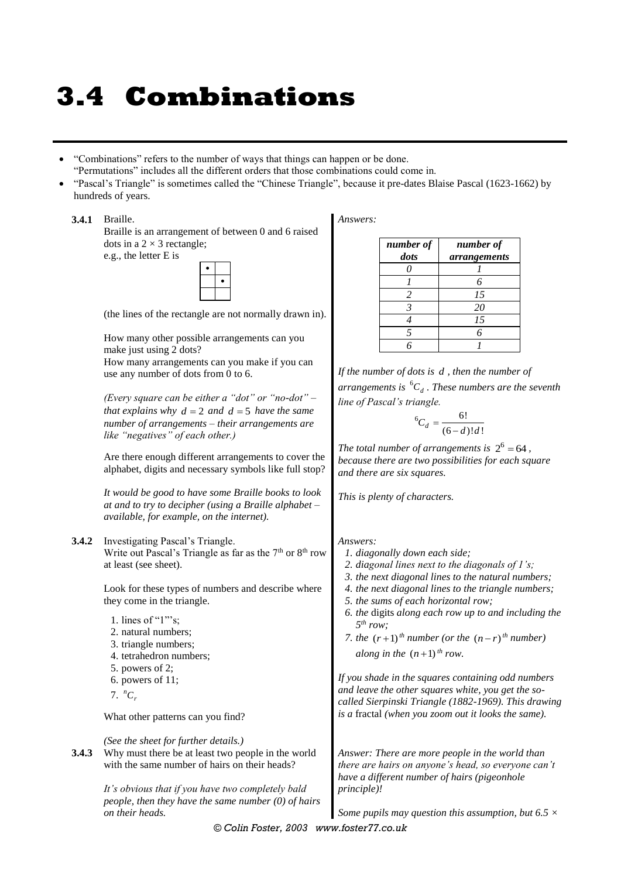# **3.4 Combinations**

- "Combinations" refers to the number of ways that things can happen or be done.
- "Permutations" includes all the different orders that those combinations could come in.
- "Pascal's Triangle" is sometimes called the "Chinese Triangle", because it pre-dates Blaise Pascal (1623-1662) by hundreds of years.

#### **3.4.1** Braille.

Braille is an arrangement of between 0 and 6 raised dots in a  $2 \times 3$  rectangle; e.g., the letter E is



(the lines of the rectangle are not normally drawn in).

How many other possible arrangements can you make just using 2 dots? How many arrangements can you make if you can

use any number of dots from 0 to 6.

*(Every square can be either a "dot" or "no-dot" – that explains why*  $d = 2$  *and*  $d = 5$  *have the same number of arrangements – their arrangements are like "negatives" of each other.)*

Are there enough different arrangements to cover the alphabet, digits and necessary symbols like full stop?

*It would be good to have some Braille books to look at and to try to decipher (using a Braille alphabet – available, for example, on the internet).*

#### **3.4.2** Investigating Pascal's Triangle. Write out Pascal's Triangle as far as the  $7<sup>th</sup>$  or  $8<sup>th</sup>$  row at least (see sheet).

Look for these types of numbers and describe where they come in the triangle.

- 
- 1. lines of "1"'s;
- 2. natural numbers;
- 3. triangle numbers;
- 4. tetrahedron numbers;
- 5. powers of 2; 6. powers of 11;
- 
- 7.  $^nC_r$

What other patterns can you find?

*(See the sheet for further details.)*

**3.4.3** Why must there be at least two people in the world with the same number of hairs on their heads?

> *It's obvious that if you have two completely bald people, then they have the same number (0) of hairs on their heads.*

*Answers:*

| number of<br>dots | number of<br>arrangements |  |  |
|-------------------|---------------------------|--|--|
| O                 |                           |  |  |
|                   | 6                         |  |  |
| $\overline{c}$    | 15                        |  |  |
|                   | 20                        |  |  |
|                   | 15                        |  |  |
| 5                 | 6                         |  |  |
|                   |                           |  |  |

*If the number of dots is d , then the number of arrangements is*  <sup>6</sup>*C<sup>d</sup> . These numbers are the seventh line of Pascal's triangle.*

$$
{}^6C_d = \frac{6!}{(6-d)!d!}
$$

The total number of arrangements is  $2^6 = 64$ , *because there are two possibilities for each square and there are six squares.*

*This is plenty of characters.*

#### *Answers:*

- *1. diagonally down each side;*
- *2. diagonal lines next to the diagonals of 1's;*
- *3. the next diagonal lines to the natural numbers;*
- *4. the next diagonal lines to the triangle numbers;*
- *5. the sums of each horizontal row;*
- *6. the* digits *along each row up to and including the 5 th row;*
- *7. the*  $(r+1)$ <sup>th</sup> number (or the  $(n-r)$ <sup>th</sup> number) *along in the*  $(n+1)$ <sup>th</sup> row.

*If you shade in the squares containing odd numbers and leave the other squares white, you get the socalled Sierpinski Triangle (1882-1969). This drawing is a* fractal *(when you zoom out it looks the same).*

*Answer: There are more people in the world than there are hairs on anyone's head, so everyone can't have a different number of hairs (pigeonhole principle)!*

*Some pupils may question this assumption, but 6.5 ×* 

*© Colin Foster, 2003 www.foster77.co.uk*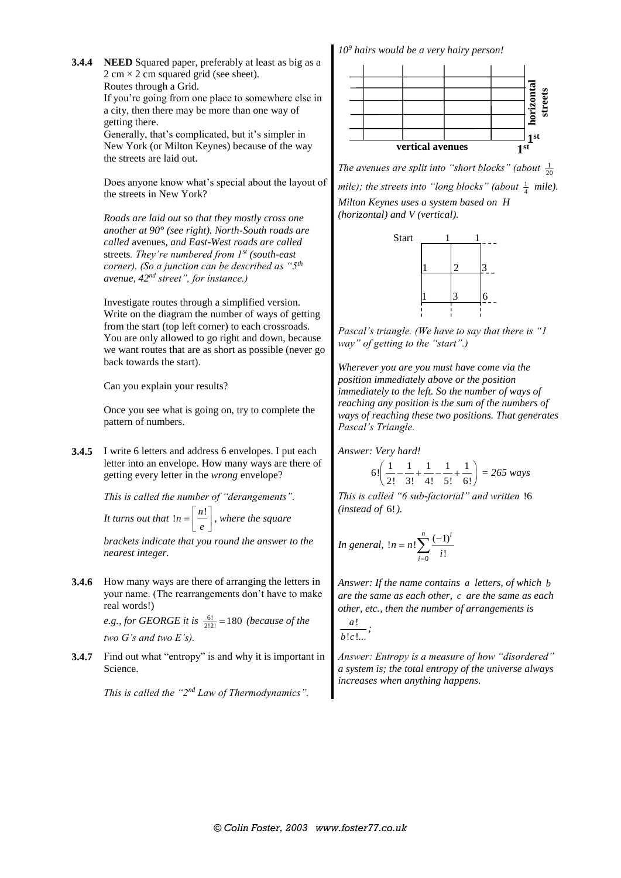**3.4.4 NEED** Squared paper, preferably at least as big as a  $2 \text{ cm} \times 2 \text{ cm}$  squared grid (see sheet). Routes through a Grid. If you're going from one place to somewhere else in a city, then there may be more than one way of

> getting there. Generally, that's complicated, but it's simpler in New York (or Milton Keynes) because of the way the streets are laid out.

Does anyone know what's special about the layout of the streets in New York?

*Roads are laid out so that they mostly cross one another at 90° (see right). North-South roads are called* avenues*, and East-West roads are called*  streets*. They're numbered from 1st (south-east corner). (So a junction can be described as "5th avenue, 42nd street", for instance.)*

Investigate routes through a simplified version. Write on the diagram the number of ways of getting from the start (top left corner) to each crossroads. You are only allowed to go right and down, because we want routes that are as short as possible (never go back towards the start).

Can you explain your results?

Once you see what is going on, try to complete the pattern of numbers.

**3.4.5** I write 6 letters and address 6 envelopes. I put each letter into an envelope. How many ways are there of getting every letter in the *wrong* envelope?

> *This is called the number of "derangements". It turns out that*  $ln = \frac{n!}{e}$  $=\left[\frac{n!}{e}\right]$ , where the square

*brackets indicate that you round the answer to the nearest integer.*

**3.4.6** How many ways are there of arranging the letters in your name. (The rearrangements don't have to make real words!)

> *e.g., for GEORGE it is*  $\frac{6!}{2!2!} = 180$  *(because of the two G's and two E's).*

**3.4.7** Find out what "entropy" is and why it is important in Science.

*This is called the "2nd Law of Thermodynamics".*

*10<sup>9</sup> hairs would be a very hairy person!*



*The avenues are split into "short blocks" (about*  $\frac{1}{20}$ mile); the streets into "long blocks" (about  $\frac{1}{4}$  mile). *Milton Keynes uses a system based on H (horizontal) and V (vertical).*



*Pascal's triangle. (We have to say that there is "1 way" of getting to the "start".)*

*Wherever you are you must have come via the position immediately above or the position immediately to the left. So the number of ways of reaching any position is the sum of the numbers of ways of reaching these two positions. That generates Pascal's Triangle.*

*Answer: Very hard!*

$$
6!\left(\frac{1}{2!} - \frac{1}{3!} + \frac{1}{4!} - \frac{1}{5!} + \frac{1}{6!}\right) = 265 \text{ ways}
$$

*This is called "6 sub-factorial" and written*  !6 *(instead of*  6! *).*

In general, 
$$
ln = n! \sum_{i=0}^{n} \frac{(-1)^i}{i!}
$$

*Answer: If the name contains a letters, of which b are the same as each other, c are the same as each other, etc., then the number of arrangements is* 

$$
\frac{a!}{b!c!...};
$$

*Answer: Entropy is a measure of how "disordered" a system is; the total entropy of the universe always increases when anything happens.*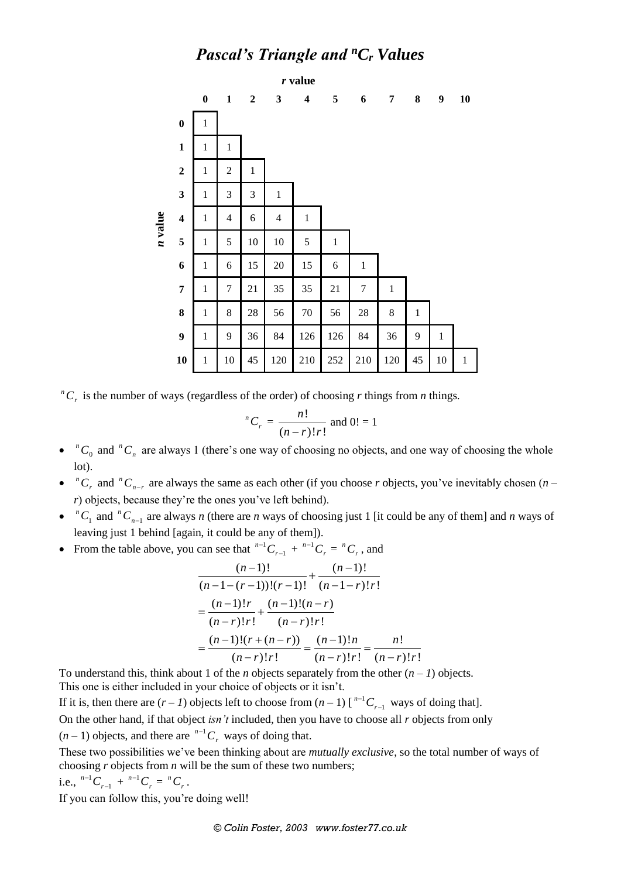## *Pascal's Triangle and <sup>n</sup>C<sup>r</sup> Values*



 ${}^nC_r$  is the number of ways (regardless of the order) of choosing *r* things from *n* things.

$$
^{n}C_{r} = \frac{n!}{(n-r)!r!}
$$
 and  $0! = 1$ 

- $\bullet$   ${}^nC_0$  and  ${}^nC_n$  are always 1 (there's one way of choosing no objects, and one way of choosing the whole lot).
- ${}^nC_r$  and  ${}^nC_{n-r}$  are always the same as each other (if you choose *r* objects, you've inevitably chosen (*n r*) objects, because they're the ones you've left behind).
- $\bullet$   ${}^nC_1$  and  ${}^nC_{n-1}$  are always *n* (there are *n* ways of choosing just 1 [it could be any of them] and *n* ways of leaving just 1 behind [again, it could be any of them]).
- From the table above, you can see that  $n-1$

can see that 
$$
{}^{n-1}C_{r-1} + {}^{n-1}C_r = {}^nC_r
$$
, and  
\n
$$
\frac{(n-1)!}{(n-1-(r-1))!(r-1)!} + \frac{(n-1)!}{(n-1-r)!r!}
$$
\n
$$
= \frac{(n-1)!r}{(n-r)!r!} + \frac{(n-1)!(n-r)}{(n-r)!r!}
$$
\n
$$
= \frac{(n-1)!(r+(n-r))}{(n-r)!r!} = \frac{(n-1)!n}{(n-r)!r!} = \frac{n!}{(n-r)!r!}
$$

To understand this, think about 1 of the *n* objects separately from the other  $(n - 1)$  objects. This one is either included in your choice of objects or it isn't.

If it is, then there are  $(r - 1)$  objects left to choose from  $(n - 1)$  [<sup>n-1</sup>  $\int_{r-1}^{n-1} C_{r-1}$  ways of doing that].

On the other hand, if that object *isn't* included, then you have to choose all *r* objects from only

 $(n-1)$  objects, and there are  $^{n-1}C_r$  ways of doing that.

These two possibilities we've been thinking about are *mutually exclusive*, so the total number of ways of choosing *r* objects from *n* will be the sum of these two numbers;

i.e., 
$$
^{n-1}C_{r-1} + ^{n-1}C_r = ^nC_r
$$
.

If you can follow this, you're doing well!